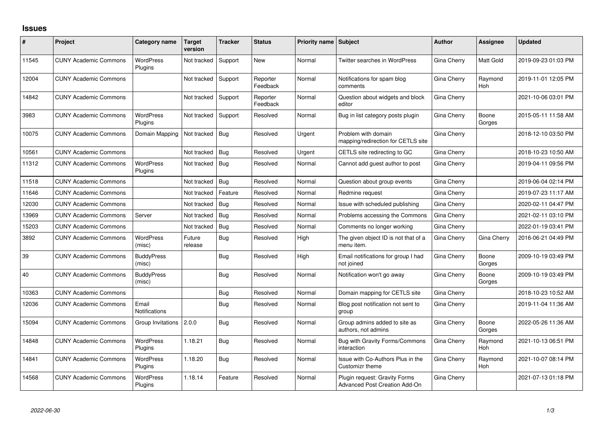## **Issues**

| #     | Project                      | Category name               | <b>Target</b><br>version | <b>Tracker</b> | <b>Status</b>        | <b>Priority name Subject</b> |                                                                | <b>Author</b> | Assignee        | <b>Updated</b>      |
|-------|------------------------------|-----------------------------|--------------------------|----------------|----------------------|------------------------------|----------------------------------------------------------------|---------------|-----------------|---------------------|
| 11545 | <b>CUNY Academic Commons</b> | <b>WordPress</b><br>Plugins | Not tracked              | Support        | <b>New</b>           | Normal                       | <b>Twitter searches in WordPress</b>                           | Gina Cherry   | Matt Gold       | 2019-09-23 01:03 PM |
| 12004 | <b>CUNY Academic Commons</b> |                             | Not tracked              | Support        | Reporter<br>Feedback | Normal                       | Notifications for spam blog<br>comments                        | Gina Cherry   | Raymond<br>Hoh  | 2019-11-01 12:05 PM |
| 14842 | <b>CUNY Academic Commons</b> |                             | Not tracked              | Support        | Reporter<br>Feedback | Normal                       | Question about widgets and block<br>editor                     | Gina Cherry   |                 | 2021-10-06 03:01 PM |
| 3983  | <b>CUNY Academic Commons</b> | <b>WordPress</b><br>Plugins | Not tracked              | Support        | Resolved             | Normal                       | Bug in list category posts plugin                              | Gina Cherry   | Boone<br>Gorges | 2015-05-11 11:58 AM |
| 10075 | <b>CUNY Academic Commons</b> | Domain Mapping              | Not tracked              | Bug            | Resolved             | Urgent                       | Problem with domain<br>mapping/redirection for CETLS site      | Gina Cherry   |                 | 2018-12-10 03:50 PM |
| 10561 | <b>CUNY Academic Commons</b> |                             | Not tracked              | Bug            | Resolved             | Urgent                       | CETLS site redirecting to GC                                   | Gina Cherry   |                 | 2018-10-23 10:50 AM |
| 11312 | <b>CUNY Academic Commons</b> | <b>WordPress</b><br>Plugins | Not tracked              | Bug            | Resolved             | Normal                       | Cannot add guest author to post                                | Gina Cherry   |                 | 2019-04-11 09:56 PM |
| 11518 | <b>CUNY Academic Commons</b> |                             | Not tracked              | Bug            | Resolved             | Normal                       | Question about group events                                    | Gina Cherry   |                 | 2019-06-04 02:14 PM |
| 11646 | <b>CUNY Academic Commons</b> |                             | Not tracked              | Feature        | Resolved             | Normal                       | Redmine request                                                | Gina Cherry   |                 | 2019-07-23 11:17 AM |
| 12030 | <b>CUNY Academic Commons</b> |                             | Not tracked              | Bug            | Resolved             | Normal                       | Issue with scheduled publishing                                | Gina Cherry   |                 | 2020-02-11 04:47 PM |
| 13969 | <b>CUNY Academic Commons</b> | Server                      | Not tracked              | Bug            | Resolved             | Normal                       | Problems accessing the Commons                                 | Gina Cherry   |                 | 2021-02-11 03:10 PM |
| 15203 | <b>CUNY Academic Commons</b> |                             | Not tracked              | Bug            | Resolved             | Normal                       | Comments no longer working                                     | Gina Cherry   |                 | 2022-01-19 03:41 PM |
| 3892  | <b>CUNY Academic Commons</b> | <b>WordPress</b><br>(misc)  | Future<br>release        | <b>Bug</b>     | Resolved             | High                         | The given object ID is not that of a<br>menu item.             | Gina Cherry   | Gina Cherry     | 2016-06-21 04:49 PM |
| 39    | <b>CUNY Academic Commons</b> | <b>BuddyPress</b><br>(misc) |                          | Bug            | Resolved             | High                         | Email notifications for group I had<br>not joined              | Gina Cherry   | Boone<br>Gorges | 2009-10-19 03:49 PM |
| 40    | <b>CUNY Academic Commons</b> | <b>BuddyPress</b><br>(misc) |                          | Bug            | Resolved             | Normal                       | Notification won't go away                                     | Gina Cherry   | Boone<br>Gorges | 2009-10-19 03:49 PM |
| 10363 | <b>CUNY Academic Commons</b> |                             |                          | Bug            | Resolved             | Normal                       | Domain mapping for CETLS site                                  | Gina Cherry   |                 | 2018-10-23 10:52 AM |
| 12036 | <b>CUNY Academic Commons</b> | Email<br>Notifications      |                          | Bug            | Resolved             | Normal                       | Blog post notification not sent to<br>group                    | Gina Cherry   |                 | 2019-11-04 11:36 AM |
| 15094 | <b>CUNY Academic Commons</b> | Group Invitations   2.0.0   |                          | Bug            | Resolved             | Normal                       | Group admins added to site as<br>authors, not admins           | Gina Cherry   | Boone<br>Gorges | 2022-05-26 11:36 AM |
| 14848 | <b>CUNY Academic Commons</b> | <b>WordPress</b><br>Plugins | 1.18.21                  | Bug            | Resolved             | Normal                       | Bug with Gravity Forms/Commons<br>interaction                  | Gina Cherry   | Raymond<br>Hoh  | 2021-10-13 06:51 PM |
| 14841 | <b>CUNY Academic Commons</b> | <b>WordPress</b><br>Plugins | 1.18.20                  | Bug            | Resolved             | Normal                       | Issue with Co-Authors Plus in the<br>Customizr theme           | Gina Cherry   | Raymond<br>Hoh  | 2021-10-07 08:14 PM |
| 14568 | <b>CUNY Academic Commons</b> | <b>WordPress</b><br>Plugins | 1.18.14                  | Feature        | Resolved             | Normal                       | Plugin reguest: Gravity Forms<br>Advanced Post Creation Add-On | Gina Cherry   |                 | 2021-07-13 01:18 PM |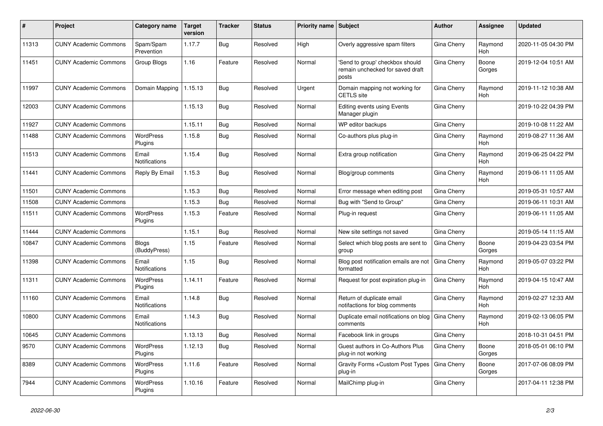| #     | Project                      | <b>Category name</b>          | <b>Target</b><br>version | <b>Tracker</b> | <b>Status</b> | <b>Priority name Subject</b> |                                                                              | <b>Author</b>      | <b>Assignee</b>       | <b>Updated</b>      |
|-------|------------------------------|-------------------------------|--------------------------|----------------|---------------|------------------------------|------------------------------------------------------------------------------|--------------------|-----------------------|---------------------|
| 11313 | <b>CUNY Academic Commons</b> | Spam/Spam<br>Prevention       | 1.17.7                   | Bug            | Resolved      | High                         | Overly aggressive spam filters                                               | Gina Cherry        | Raymond<br>Hoh        | 2020-11-05 04:30 PM |
| 11451 | <b>CUNY Academic Commons</b> | Group Blogs                   | 1.16                     | Feature        | Resolved      | Normal                       | 'Send to group' checkbox should<br>remain unchecked for saved draft<br>posts | Gina Cherry        | Boone<br>Gorges       | 2019-12-04 10:51 AM |
| 11997 | <b>CUNY Academic Commons</b> | Domain Mapping                | 1.15.13                  | Bug            | Resolved      | Urgent                       | Domain mapping not working for<br><b>CETLS</b> site                          | Gina Cherry        | Raymond<br>Hoh        | 2019-11-12 10:38 AM |
| 12003 | <b>CUNY Academic Commons</b> |                               | 1.15.13                  | <b>Bug</b>     | Resolved      | Normal                       | <b>Editing events using Events</b><br>Manager plugin                         | Gina Cherry        |                       | 2019-10-22 04:39 PM |
| 11927 | <b>CUNY Academic Commons</b> |                               | 1.15.11                  | Bug            | Resolved      | Normal                       | WP editor backups                                                            | Gina Cherry        |                       | 2019-10-08 11:22 AM |
| 11488 | <b>CUNY Academic Commons</b> | WordPress<br>Plugins          | 1.15.8                   | <b>Bug</b>     | Resolved      | Normal                       | Co-authors plus plug-in                                                      | Gina Cherry        | Raymond<br><b>Hoh</b> | 2019-08-27 11:36 AM |
| 11513 | <b>CUNY Academic Commons</b> | Email<br><b>Notifications</b> | 1.15.4                   | Bug            | Resolved      | Normal                       | Extra group notification                                                     | Gina Cherry        | Raymond<br>Hoh        | 2019-06-25 04:22 PM |
| 11441 | <b>CUNY Academic Commons</b> | Reply By Email                | 1.15.3                   | <b>Bug</b>     | Resolved      | Normal                       | Blog/group comments                                                          | Gina Cherry        | Raymond<br><b>Hoh</b> | 2019-06-11 11:05 AM |
| 11501 | <b>CUNY Academic Commons</b> |                               | 1.15.3                   | Bug            | Resolved      | Normal                       | Error message when editing post                                              | Gina Cherry        |                       | 2019-05-31 10:57 AM |
| 11508 | <b>CUNY Academic Commons</b> |                               | 1.15.3                   | Bug            | Resolved      | Normal                       | Bug with "Send to Group"                                                     | Gina Cherry        |                       | 2019-06-11 10:31 AM |
| 11511 | <b>CUNY Academic Commons</b> | WordPress<br>Plugins          | 1.15.3                   | Feature        | Resolved      | Normal                       | Plug-in request                                                              | Gina Cherry        |                       | 2019-06-11 11:05 AM |
| 11444 | <b>CUNY Academic Commons</b> |                               | 1.15.1                   | <b>Bug</b>     | Resolved      | Normal                       | New site settings not saved                                                  | Gina Cherry        |                       | 2019-05-14 11:15 AM |
| 10847 | <b>CUNY Academic Commons</b> | <b>Blogs</b><br>(BuddyPress)  | 1.15                     | Feature        | Resolved      | Normal                       | Select which blog posts are sent to<br>group                                 | Gina Cherry        | Boone<br>Gorges       | 2019-04-23 03:54 PM |
| 11398 | <b>CUNY Academic Commons</b> | Email<br><b>Notifications</b> | 1.15                     | Bug            | Resolved      | Normal                       | Blog post notification emails are not<br>formatted                           | <b>Gina Cherry</b> | Raymond<br><b>Hoh</b> | 2019-05-07 03:22 PM |
| 11311 | <b>CUNY Academic Commons</b> | WordPress<br>Plugins          | 1.14.11                  | Feature        | Resolved      | Normal                       | Request for post expiration plug-in                                          | Gina Cherry        | Raymond<br><b>Hoh</b> | 2019-04-15 10:47 AM |
| 11160 | <b>CUNY Academic Commons</b> | Email<br><b>Notifications</b> | 1.14.8                   | Bug            | Resolved      | Normal                       | Return of duplicate email<br>notifactions for blog comments                  | Gina Cherry        | Raymond<br><b>Hoh</b> | 2019-02-27 12:33 AM |
| 10800 | <b>CUNY Academic Commons</b> | Email<br>Notifications        | 1.14.3                   | <b>Bug</b>     | Resolved      | Normal                       | Duplicate email notifications on blog<br>comments                            | Gina Cherry        | Raymond<br>Hoh        | 2019-02-13 06:05 PM |
| 10645 | <b>CUNY Academic Commons</b> |                               | 1.13.13                  | Bug            | Resolved      | Normal                       | Facebook link in groups                                                      | Gina Cherry        |                       | 2018-10-31 04:51 PM |
| 9570  | <b>CUNY Academic Commons</b> | WordPress<br>Plugins          | 1.12.13                  | <b>Bug</b>     | Resolved      | Normal                       | Guest authors in Co-Authors Plus<br>plug-in not working                      | Gina Cherry        | Boone<br>Gorges       | 2018-05-01 06:10 PM |
| 8389  | <b>CUNY Academic Commons</b> | WordPress<br>Plugins          | 1.11.6                   | Feature        | Resolved      | Normal                       | Gravity Forms + Custom Post Types   Gina Cherry<br>plug-in                   |                    | Boone<br>Gorges       | 2017-07-06 08:09 PM |
| 7944  | <b>CUNY Academic Commons</b> | WordPress<br>Plugins          | 1.10.16                  | Feature        | Resolved      | Normal                       | MailChimp plug-in                                                            | Gina Cherry        |                       | 2017-04-11 12:38 PM |